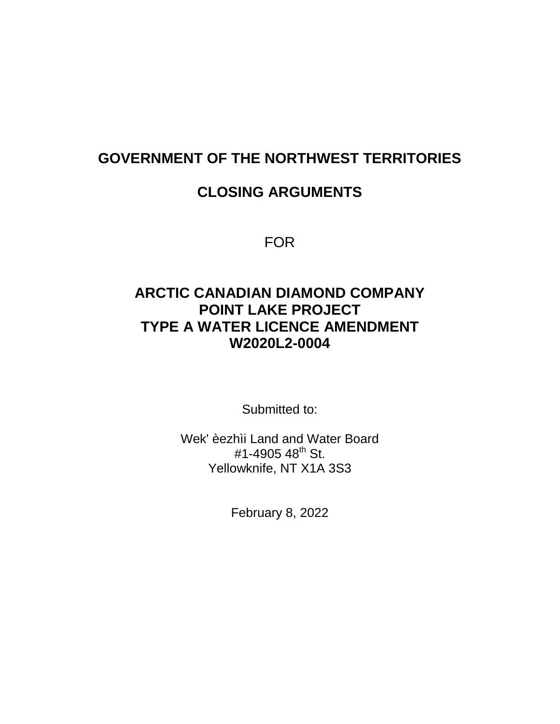### **GOVERNMENT OF THE NORTHWEST TERRITORIES**

#### **CLOSING ARGUMENTS**

FOR

#### **ARCTIC CANADIAN DIAMOND COMPANY POINT LAKE PROJECT TYPE A WATER LICENCE AMENDMENT W2020L2-0004**

Submitted to:

Wek' èezhìi Land and Water Board  $#1-4905 48$ <sup>th</sup> St. Yellowknife, NT X1A 3S3

February 8, 2022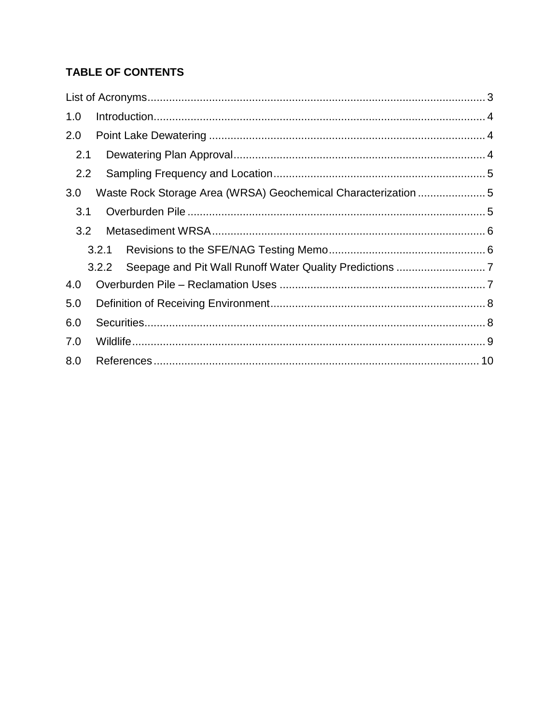#### **TABLE OF CONTENTS**

| 1.0 |       |  |
|-----|-------|--|
| 2.0 |       |  |
| 2.1 |       |  |
| 2.2 |       |  |
| 3.0 |       |  |
| 3.1 |       |  |
| 3.2 |       |  |
|     | 3.2.1 |  |
|     | 3.2.2 |  |
| 4.0 |       |  |
| 5.0 |       |  |
| 6.0 |       |  |
| 7.0 |       |  |
| 8.0 |       |  |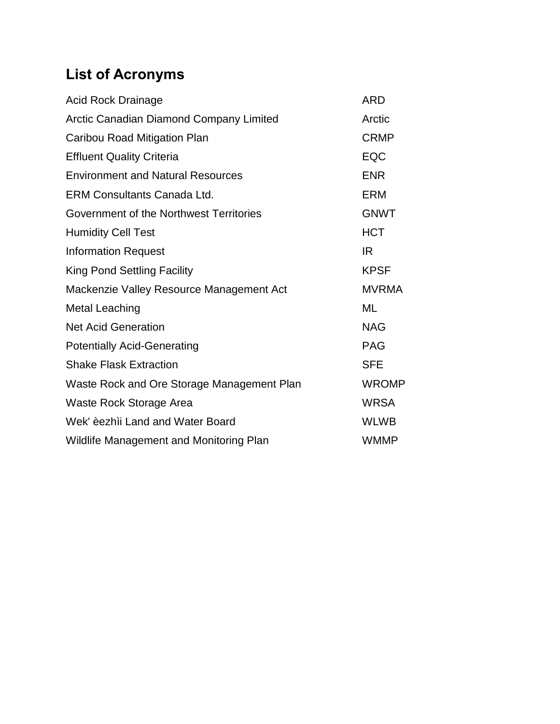# <span id="page-2-0"></span>**List of Acronyms**

| <b>Acid Rock Drainage</b>                  | <b>ARD</b>   |
|--------------------------------------------|--------------|
| Arctic Canadian Diamond Company Limited    | Arctic       |
| Caribou Road Mitigation Plan               | <b>CRMP</b>  |
| <b>Effluent Quality Criteria</b>           | <b>EQC</b>   |
| <b>Environment and Natural Resources</b>   | <b>ENR</b>   |
| <b>ERM Consultants Canada Ltd.</b>         | <b>ERM</b>   |
| Government of the Northwest Territories    | <b>GNWT</b>  |
| <b>Humidity Cell Test</b>                  | <b>HCT</b>   |
| <b>Information Request</b>                 | IR           |
| <b>King Pond Settling Facility</b>         | <b>KPSF</b>  |
| Mackenzie Valley Resource Management Act   | <b>MVRMA</b> |
| <b>Metal Leaching</b>                      | ML           |
| <b>Net Acid Generation</b>                 | <b>NAG</b>   |
| <b>Potentially Acid-Generating</b>         | <b>PAG</b>   |
| <b>Shake Flask Extraction</b>              | <b>SFE</b>   |
| Waste Rock and Ore Storage Management Plan | <b>WROMP</b> |
| Waste Rock Storage Area                    | <b>WRSA</b>  |
| Wek' èezhìi Land and Water Board           | <b>WLWB</b>  |
| Wildlife Management and Monitoring Plan    | <b>WMMP</b>  |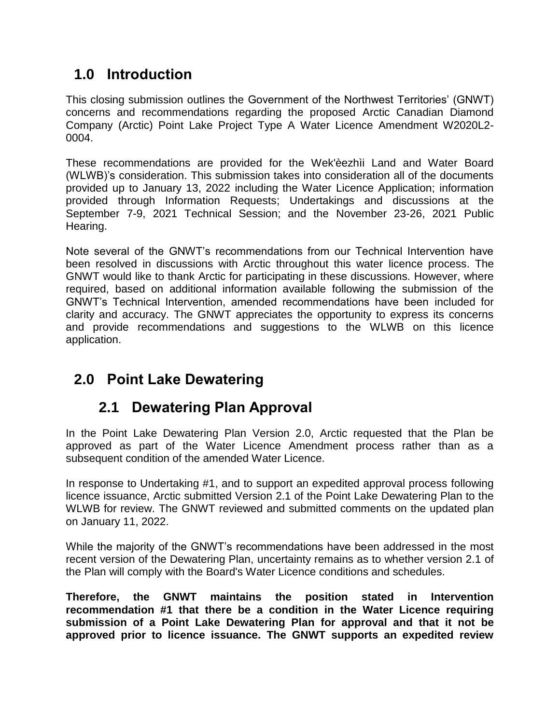# <span id="page-3-0"></span>**1.0 Introduction**

This closing submission outlines the Government of the Northwest Territories' (GNWT) concerns and recommendations regarding the proposed Arctic Canadian Diamond Company (Arctic) Point Lake Project Type A Water Licence Amendment W2020L2- 0004.

These recommendations are provided for the Wek'èezhìi Land and Water Board (WLWB)'s consideration. This submission takes into consideration all of the documents provided up to January 13, 2022 including the Water Licence Application; information provided through Information Requests; Undertakings and discussions at the September 7-9, 2021 Technical Session; and the November 23-26, 2021 Public Hearing.

Note several of the GNWT's recommendations from our Technical Intervention have been resolved in discussions with Arctic throughout this water licence process. The GNWT would like to thank Arctic for participating in these discussions. However, where required, based on additional information available following the submission of the GNWT's Technical Intervention, amended recommendations have been included for clarity and accuracy. The GNWT appreciates the opportunity to express its concerns and provide recommendations and suggestions to the WLWB on this licence application.

# <span id="page-3-1"></span>**2.0 Point Lake Dewatering**

# **2.1 Dewatering Plan Approval**

<span id="page-3-2"></span>In the Point Lake Dewatering Plan Version 2.0, Arctic requested that the Plan be approved as part of the Water Licence Amendment process rather than as a subsequent condition of the amended Water Licence.

In response to Undertaking #1, and to support an expedited approval process following licence issuance, Arctic submitted Version 2.1 of the Point Lake Dewatering Plan to the WLWB for review. The GNWT reviewed and submitted comments on the updated plan on January 11, 2022.

While the majority of the GNWT's recommendations have been addressed in the most recent version of the Dewatering Plan, uncertainty remains as to whether version 2.1 of the Plan will comply with the Board's Water Licence conditions and schedules.

**Therefore, the GNWT maintains the position stated in Intervention recommendation #1 that there be a condition in the Water Licence requiring submission of a Point Lake Dewatering Plan for approval and that it not be approved prior to licence issuance. The GNWT supports an expedited review**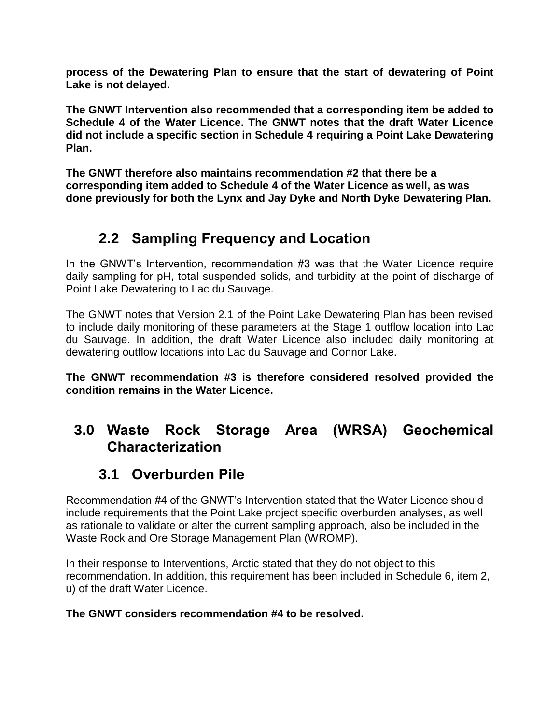**process of the Dewatering Plan to ensure that the start of dewatering of Point Lake is not delayed.**

**The GNWT Intervention also recommended that a corresponding item be added to Schedule 4 of the Water Licence. The GNWT notes that the draft Water Licence did not include a specific section in Schedule 4 requiring a Point Lake Dewatering Plan.** 

**The GNWT therefore also maintains recommendation #2 that there be a corresponding item added to Schedule 4 of the Water Licence as well, as was done previously for both the Lynx and Jay Dyke and North Dyke Dewatering Plan.**

# **2.2 Sampling Frequency and Location**

<span id="page-4-0"></span>In the GNWT's Intervention, recommendation #3 was that the Water Licence require daily sampling for pH, total suspended solids, and turbidity at the point of discharge of Point Lake Dewatering to Lac du Sauvage.

The GNWT notes that Version 2.1 of the Point Lake Dewatering Plan has been revised to include daily monitoring of these parameters at the Stage 1 outflow location into Lac du Sauvage. In addition, the draft Water Licence also included daily monitoring at dewatering outflow locations into Lac du Sauvage and Connor Lake.

**The GNWT recommendation #3 is therefore considered resolved provided the condition remains in the Water Licence.**

### <span id="page-4-1"></span>**3.0 Waste Rock Storage Area (WRSA) Geochemical Characterization**

# **3.1 Overburden Pile**

<span id="page-4-2"></span>Recommendation #4 of the GNWT's Intervention stated that the Water Licence should include requirements that the Point Lake project specific overburden analyses, as well as rationale to validate or alter the current sampling approach, also be included in the Waste Rock and Ore Storage Management Plan (WROMP).

In their response to Interventions, Arctic stated that they do not object to this recommendation. In addition, this requirement has been included in Schedule 6, item 2, u) of the draft Water Licence.

#### **The GNWT considers recommendation #4 to be resolved.**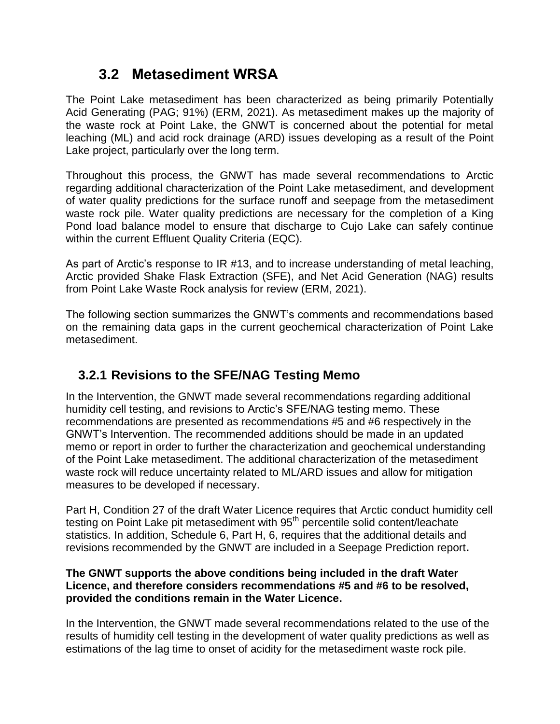# **3.2 Metasediment WRSA**

<span id="page-5-0"></span>The Point Lake metasediment has been characterized as being primarily Potentially Acid Generating (PAG; 91%) (ERM, 2021). As metasediment makes up the majority of the waste rock at Point Lake, the GNWT is concerned about the potential for metal leaching (ML) and acid rock drainage (ARD) issues developing as a result of the Point Lake project, particularly over the long term.

Throughout this process, the GNWT has made several recommendations to Arctic regarding additional characterization of the Point Lake metasediment, and development of water quality predictions for the surface runoff and seepage from the metasediment waste rock pile. Water quality predictions are necessary for the completion of a King Pond load balance model to ensure that discharge to Cujo Lake can safely continue within the current Effluent Quality Criteria (EQC).

As part of Arctic's response to IR #13, and to increase understanding of metal leaching, Arctic provided Shake Flask Extraction (SFE), and Net Acid Generation (NAG) results from Point Lake Waste Rock analysis for review (ERM, 2021).

The following section summarizes the GNWT's comments and recommendations based on the remaining data gaps in the current geochemical characterization of Point Lake metasediment.

#### <span id="page-5-1"></span>**3.2.1 Revisions to the SFE/NAG Testing Memo**

In the Intervention, the GNWT made several recommendations regarding additional humidity cell testing, and revisions to Arctic's SFE/NAG testing memo. These recommendations are presented as recommendations #5 and #6 respectively in the GNWT's Intervention. The recommended additions should be made in an updated memo or report in order to further the characterization and geochemical understanding of the Point Lake metasediment. The additional characterization of the metasediment waste rock will reduce uncertainty related to ML/ARD issues and allow for mitigation measures to be developed if necessary.

Part H, Condition 27 of the draft Water Licence requires that Arctic conduct humidity cell testing on Point Lake pit metasediment with 95<sup>th</sup> percentile solid content/leachate statistics. In addition, Schedule 6, Part H, 6, requires that the additional details and revisions recommended by the GNWT are included in a Seepage Prediction report**.**

#### **The GNWT supports the above conditions being included in the draft Water Licence, and therefore considers recommendations #5 and #6 to be resolved, provided the conditions remain in the Water Licence.**

In the Intervention, the GNWT made several recommendations related to the use of the results of humidity cell testing in the development of water quality predictions as well as estimations of the lag time to onset of acidity for the metasediment waste rock pile.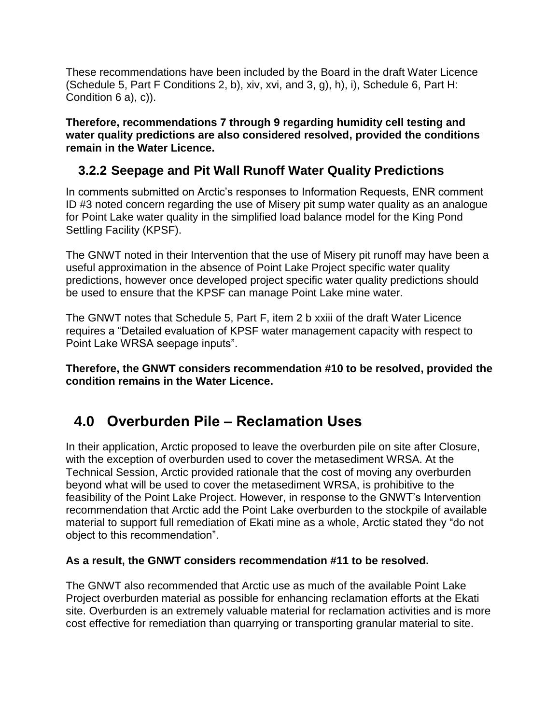These recommendations have been included by the Board in the draft Water Licence (Schedule 5, Part F Conditions 2, b), xiv, xvi, and 3, g), h), i), Schedule 6, Part H: Condition 6 a), c)).

**Therefore, recommendations 7 through 9 regarding humidity cell testing and water quality predictions are also considered resolved, provided the conditions remain in the Water Licence.** 

#### <span id="page-6-0"></span>**3.2.2 Seepage and Pit Wall Runoff Water Quality Predictions**

In comments submitted on Arctic's responses to Information Requests, ENR comment ID #3 noted concern regarding the use of Misery pit sump water quality as an analogue for Point Lake water quality in the simplified load balance model for the King Pond Settling Facility (KPSF).

The GNWT noted in their Intervention that the use of Misery pit runoff may have been a useful approximation in the absence of Point Lake Project specific water quality predictions, however once developed project specific water quality predictions should be used to ensure that the KPSF can manage Point Lake mine water.

The GNWT notes that Schedule 5, Part F, item 2 b xxiii of the draft Water Licence requires a "Detailed evaluation of KPSF water management capacity with respect to Point Lake WRSA seepage inputs".

**Therefore, the GNWT considers recommendation #10 to be resolved, provided the condition remains in the Water Licence.** 

# <span id="page-6-1"></span>**4.0 Overburden Pile – Reclamation Uses**

In their application, Arctic proposed to leave the overburden pile on site after Closure, with the exception of overburden used to cover the metasediment WRSA. At the Technical Session, Arctic provided rationale that the cost of moving any overburden beyond what will be used to cover the metasediment WRSA, is prohibitive to the feasibility of the Point Lake Project. However, in response to the GNWT's Intervention recommendation that Arctic add the Point Lake overburden to the stockpile of available material to support full remediation of Ekati mine as a whole, Arctic stated they "do not object to this recommendation".

#### **As a result, the GNWT considers recommendation #11 to be resolved.**

The GNWT also recommended that Arctic use as much of the available Point Lake Project overburden material as possible for enhancing reclamation efforts at the Ekati site. Overburden is an extremely valuable material for reclamation activities and is more cost effective for remediation than quarrying or transporting granular material to site.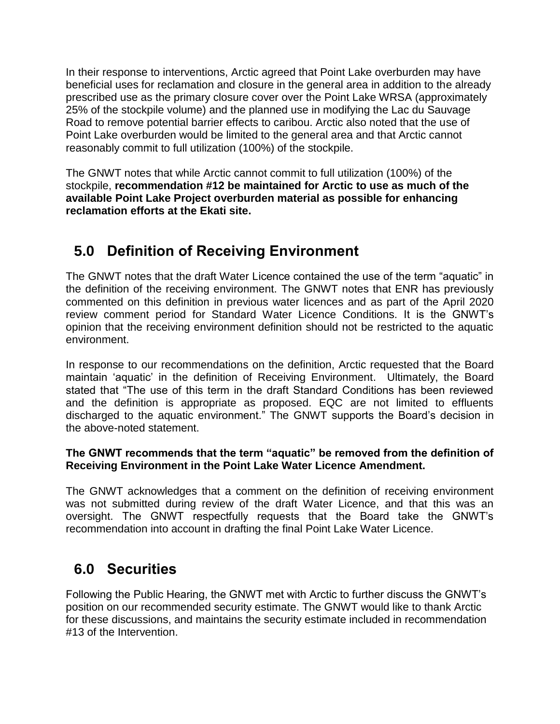In their response to interventions, Arctic agreed that Point Lake overburden may have beneficial uses for reclamation and closure in the general area in addition to the already prescribed use as the primary closure cover over the Point Lake WRSA (approximately 25% of the stockpile volume) and the planned use in modifying the Lac du Sauvage Road to remove potential barrier effects to caribou. Arctic also noted that the use of Point Lake overburden would be limited to the general area and that Arctic cannot reasonably commit to full utilization (100%) of the stockpile.

The GNWT notes that while Arctic cannot commit to full utilization (100%) of the stockpile, **recommendation #12 be maintained for Arctic to use as much of the available Point Lake Project overburden material as possible for enhancing reclamation efforts at the Ekati site.**

# <span id="page-7-0"></span>**5.0 Definition of Receiving Environment**

The GNWT notes that the draft Water Licence contained the use of the term "aquatic" in the definition of the receiving environment. The GNWT notes that ENR has previously commented on this definition in previous water licences and as part of the April 2020 review comment period for Standard Water Licence Conditions. It is the GNWT's opinion that the receiving environment definition should not be restricted to the aquatic environment.

In response to our recommendations on the definition, Arctic requested that the Board maintain 'aquatic' in the definition of Receiving Environment. Ultimately, the Board stated that "The use of this term in the draft Standard Conditions has been reviewed and the definition is appropriate as proposed. EQC are not limited to effluents discharged to the aquatic environment." The GNWT supports the Board's decision in the above-noted statement.

#### **The GNWT recommends that the term "aquatic" be removed from the definition of Receiving Environment in the Point Lake Water Licence Amendment.**

The GNWT acknowledges that a comment on the definition of receiving environment was not submitted during review of the draft Water Licence, and that this was an oversight. The GNWT respectfully requests that the Board take the GNWT's recommendation into account in drafting the final Point Lake Water Licence.

### <span id="page-7-1"></span>**6.0 Securities**

Following the Public Hearing, the GNWT met with Arctic to further discuss the GNWT's position on our recommended security estimate. The GNWT would like to thank Arctic for these discussions, and maintains the security estimate included in recommendation #13 of the Intervention.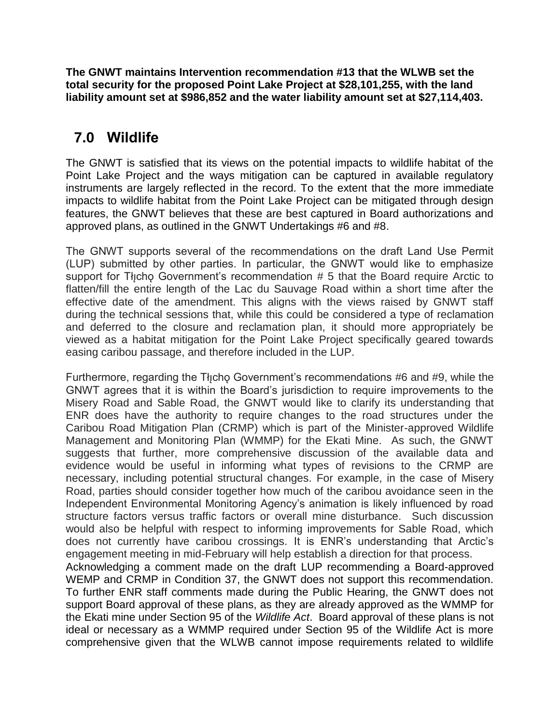**The GNWT maintains Intervention recommendation #13 that the WLWB set the total security for the proposed Point Lake Project at \$28,101,255, with the land liability amount set at \$986,852 and the water liability amount set at \$27,114,403.**

### <span id="page-8-0"></span>**7.0 Wildlife**

The GNWT is satisfied that its views on the potential impacts to wildlife habitat of the Point Lake Project and the ways mitigation can be captured in available regulatory instruments are largely reflected in the record. To the extent that the more immediate impacts to wildlife habitat from the Point Lake Project can be mitigated through design features, the GNWT believes that these are best captured in Board authorizations and approved plans, as outlined in the GNWT Undertakings #6 and #8.

The GNWT supports several of the recommendations on the draft Land Use Permit (LUP) submitted by other parties. In particular, the GNWT would like to emphasize support for The Government's recommendation  $# 5$  that the Board require Arctic to flatten/fill the entire length of the Lac du Sauvage Road within a short time after the effective date of the amendment. This aligns with the views raised by GNWT staff during the technical sessions that, while this could be considered a type of reclamation and deferred to the closure and reclamation plan, it should more appropriately be viewed as a habitat mitigation for the Point Lake Project specifically geared towards easing caribou passage, and therefore included in the LUP.

Furthermore, regarding the Tłicho Government's recommendations #6 and #9, while the GNWT agrees that it is within the Board's jurisdiction to require improvements to the Misery Road and Sable Road, the GNWT would like to clarify its understanding that ENR does have the authority to require changes to the road structures under the Caribou Road Mitigation Plan (CRMP) which is part of the Minister-approved Wildlife Management and Monitoring Plan (WMMP) for the Ekati Mine. As such, the GNWT suggests that further, more comprehensive discussion of the available data and evidence would be useful in informing what types of revisions to the CRMP are necessary, including potential structural changes. For example, in the case of Misery Road, parties should consider together how much of the caribou avoidance seen in the Independent Environmental Monitoring Agency's animation is likely influenced by road structure factors versus traffic factors or overall mine disturbance. Such discussion would also be helpful with respect to informing improvements for Sable Road, which does not currently have caribou crossings. It is ENR's understanding that Arctic's engagement meeting in mid-February will help establish a direction for that process. Acknowledging a comment made on the draft LUP recommending a Board-approved WEMP and CRMP in Condition 37, the GNWT does not support this recommendation. To further ENR staff comments made during the Public Hearing, the GNWT does not support Board approval of these plans, as they are already approved as the WMMP for the Ekati mine under Section 95 of the *Wildlife Act*. Board approval of these plans is not

ideal or necessary as a WMMP required under Section 95 of the Wildlife Act is more comprehensive given that the WLWB cannot impose requirements related to wildlife